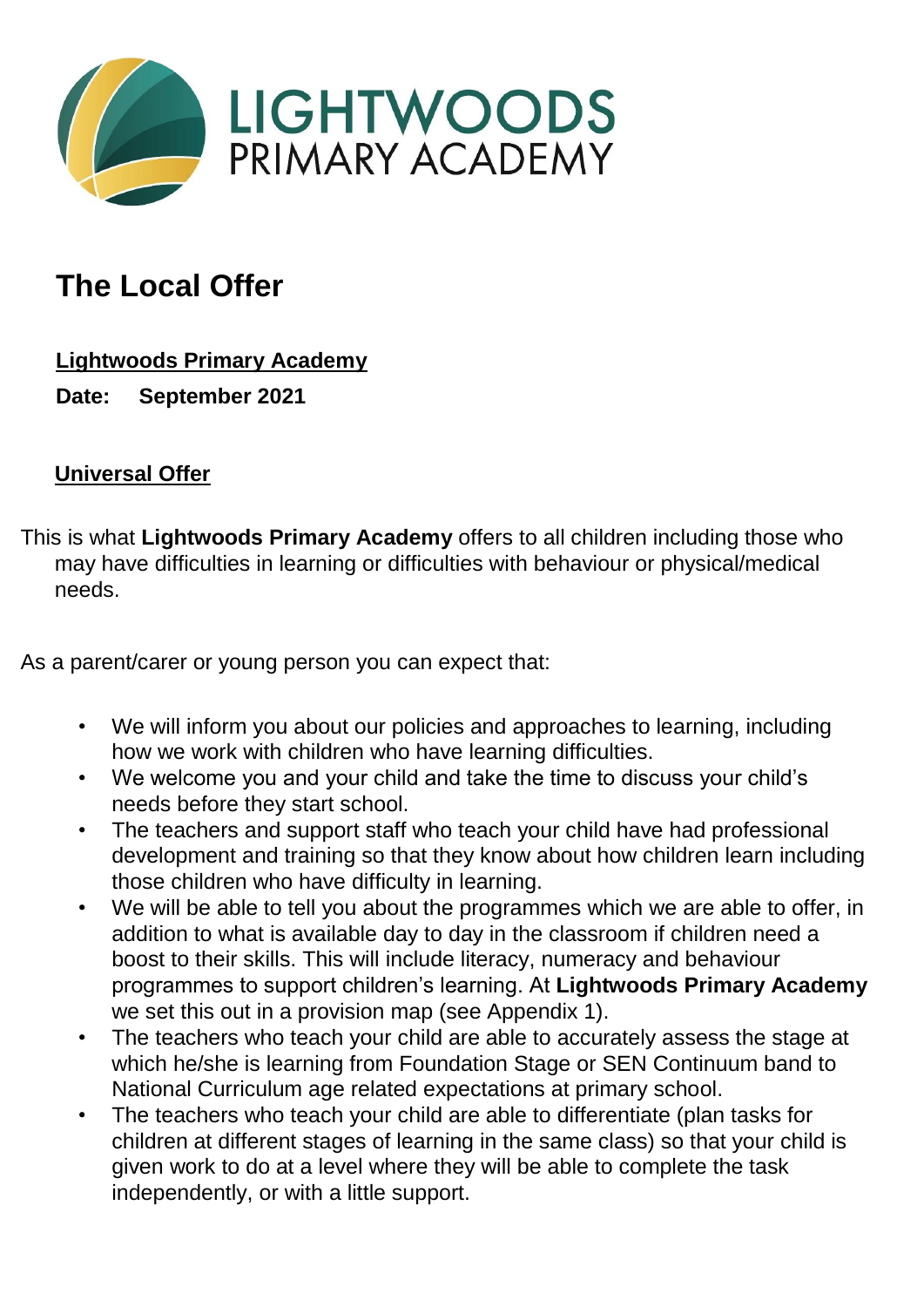

## **The Local Offer**

**Lightwoods Primary Academy**

**Date: September 2021** 

## **Universal Offer**

This is what **Lightwoods Primary Academy** offers to all children including those who may have difficulties in learning or difficulties with behaviour or physical/medical needs.

As a parent/carer or young person you can expect that:

- We will inform you about our policies and approaches to learning, including how we work with children who have learning difficulties.
- We welcome you and your child and take the time to discuss your child's needs before they start school.
- The teachers and support staff who teach your child have had professional development and training so that they know about how children learn including those children who have difficulty in learning.
- We will be able to tell you about the programmes which we are able to offer, in addition to what is available day to day in the classroom if children need a boost to their skills. This will include literacy, numeracy and behaviour programmes to support children's learning. At **Lightwoods Primary Academy** we set this out in a provision map (see Appendix 1).
- The teachers who teach your child are able to accurately assess the stage at which he/she is learning from Foundation Stage or SEN Continuum band to National Curriculum age related expectations at primary school.
- The teachers who teach your child are able to differentiate (plan tasks for children at different stages of learning in the same class) so that your child is given work to do at a level where they will be able to complete the task independently, or with a little support.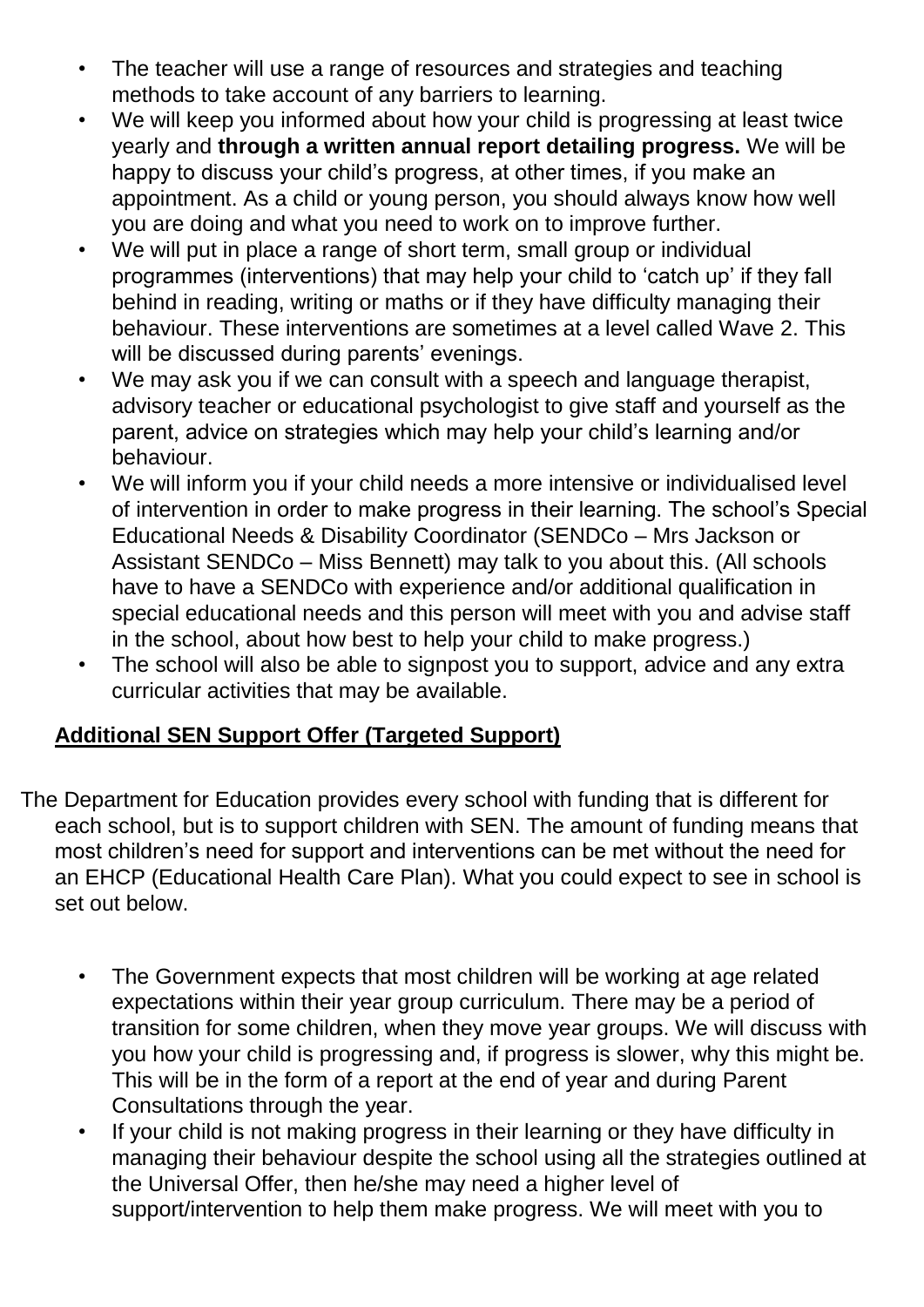- The teacher will use a range of resources and strategies and teaching methods to take account of any barriers to learning.
- We will keep you informed about how your child is progressing at least twice yearly and **through a written annual report detailing progress.** We will be happy to discuss your child's progress, at other times, if you make an appointment. As a child or young person, you should always know how well you are doing and what you need to work on to improve further.
- We will put in place a range of short term, small group or individual programmes (interventions) that may help your child to 'catch up' if they fall behind in reading, writing or maths or if they have difficulty managing their behaviour. These interventions are sometimes at a level called Wave 2. This will be discussed during parents' evenings.
- We may ask you if we can consult with a speech and language therapist, advisory teacher or educational psychologist to give staff and yourself as the parent, advice on strategies which may help your child's learning and/or behaviour.
- We will inform you if your child needs a more intensive or individualised level of intervention in order to make progress in their learning. The school's Special Educational Needs & Disability Coordinator (SENDCo – Mrs Jackson or Assistant SENDCo – Miss Bennett) may talk to you about this. (All schools have to have a SENDCo with experience and/or additional qualification in special educational needs and this person will meet with you and advise staff in the school, about how best to help your child to make progress.)
- The school will also be able to signpost you to support, advice and any extra curricular activities that may be available.

## **Additional SEN Support Offer (Targeted Support)**

The Department for Education provides every school with funding that is different for each school, but is to support children with SEN. The amount of funding means that most children's need for support and interventions can be met without the need for an EHCP (Educational Health Care Plan). What you could expect to see in school is set out below.

- The Government expects that most children will be working at age related expectations within their year group curriculum. There may be a period of transition for some children, when they move year groups. We will discuss with you how your child is progressing and, if progress is slower, why this might be. This will be in the form of a report at the end of year and during Parent Consultations through the year.
- If your child is not making progress in their learning or they have difficulty in managing their behaviour despite the school using all the strategies outlined at the Universal Offer, then he/she may need a higher level of support/intervention to help them make progress. We will meet with you to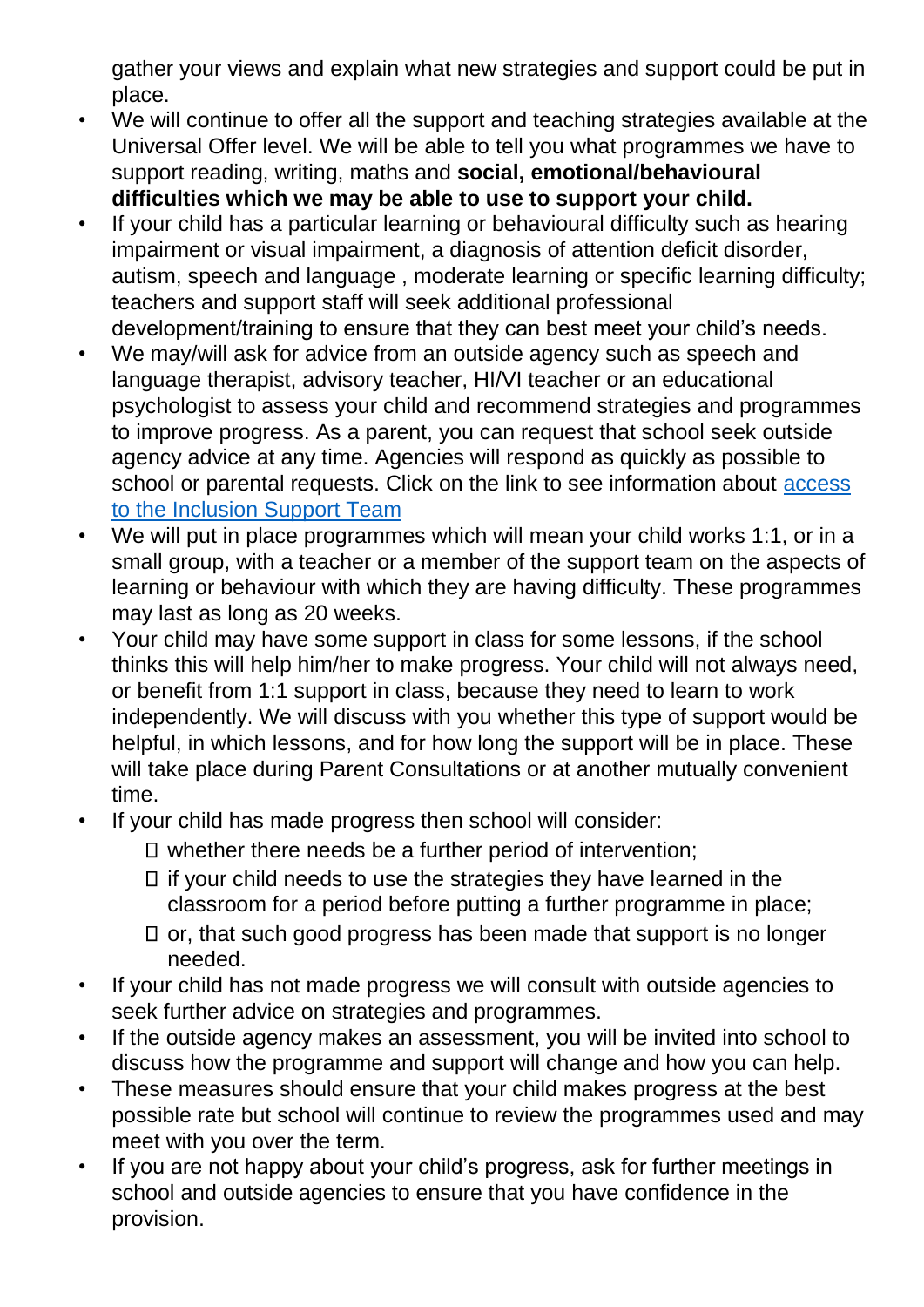gather your views and explain what new strategies and support could be put in place.

- We will continue to offer all the support and teaching strategies available at the Universal Offer level. We will be able to tell you what programmes we have to support reading, writing, maths and **social, emotional/behavioural difficulties which we may be able to use to support your child.**
- If your child has a particular learning or behavioural difficulty such as hearing impairment or visual impairment, a diagnosis of attention deficit disorder, autism, speech and language , moderate learning or specific learning difficulty; teachers and support staff will seek additional professional development/training to ensure that they can best meet your child's needs.
- We may/will ask for advice from an outside agency such as speech and language therapist, advisory teacher, HI/VI teacher or an educational psychologist to assess your child and recommend strategies and programmes to improve progress. As a parent, you can request that school seek outside agency advice at any time. Agencies will respond as quickly as possible to school or parental requests. Click on the link to see information about [access](https://www.sandwell.gov.uk/download/downloads/id/3944/inclusion_support_service_handbook.pdf)  to the [Inclusion Support Team](https://www.sandwell.gov.uk/download/downloads/id/3944/inclusion_support_service_handbook.pdf)
- We will put in place programmes which will mean your child works 1:1, or in a small group, with a teacher or a member of the support team on the aspects of learning or behaviour with which they are having difficulty. These programmes may last as long as 20 weeks.
- Your child may have some support in class for some lessons, if the school thinks this will help him/her to make progress. Your child will not always need, or benefit from 1:1 support in class, because they need to learn to work independently. We will discuss with you whether this type of support would be helpful, in which lessons, and for how long the support will be in place. These will take place during Parent Consultations or at another mutually convenient time.
- If your child has made progress then school will consider:
	- whether there needs be a further period of intervention;
	- $\Box$  if your child needs to use the strategies they have learned in the classroom for a period before putting a further programme in place;
	- $\Box$  or, that such good progress has been made that support is no longer needed.
- If your child has not made progress we will consult with outside agencies to seek further advice on strategies and programmes.
- If the outside agency makes an assessment, you will be invited into school to discuss how the programme and support will change and how you can help.
- These measures should ensure that your child makes progress at the best possible rate but school will continue to review the programmes used and may meet with you over the term.
- If you are not happy about your child's progress, ask for further meetings in school and outside agencies to ensure that you have confidence in the provision.